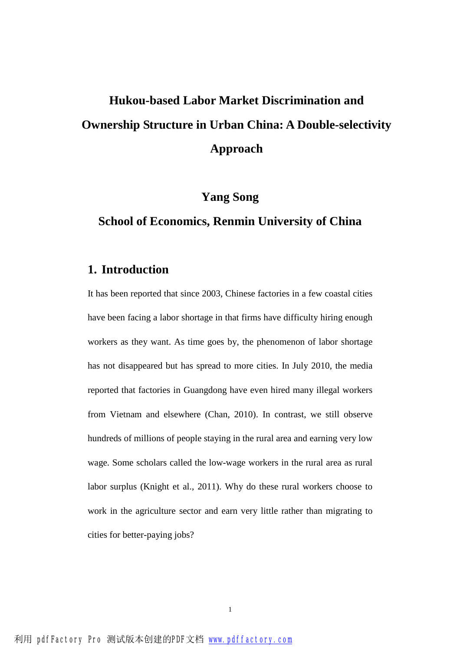# **Hukou-based Labor Market Discrimination and Ownership Structure in Urban China: A Double-selectivity Approach**

## **Yang Song**

## **School of Economics, Renmin University of China**

## **1. Introduction**

It has been reported that since 2003, Chinese factories in a few coastal cities have been facing a labor shortage in that firms have difficulty hiring enough workers as they want. As time goes by, the phenomenon of labor shortage has not disappeared but has spread to more cities. In July 2010, the media reported that factories in Guangdong have even hired many illegal workers from Vietnam and elsewhere (Chan, 2010). In contrast, we still observe hundreds of millions of people staying in the rural area and earning very low wage. Some scholars called the low-wage workers in the rural area as rural labor surplus (Knight et al., 2011). Why do these rural workers choose to work in the agriculture sector and earn very little rather than migrating to cities for better-paying jobs?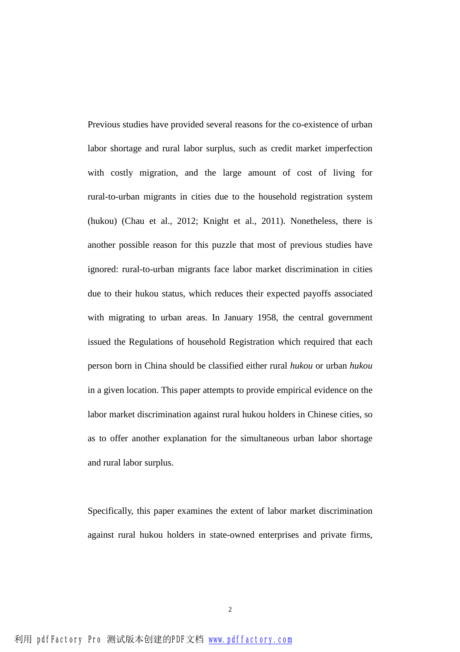Previous studies have provided several reasons for the co-existence of urban labor shortage and rural labor surplus, such as credit market imperfection with costly migration, and the large amount of cost of living for rural-to-urban migrants in cities due to the household registration system (hukou) (Chau et al., 2012; Knight et al., 2011). Nonetheless, there is another possible reason for this puzzle that most of previous studies have ignored: rural-to-urban migrants face labor market discrimination in cities due to their hukou status, which reduces their expected payoffs associated with migrating to urban areas. In January 1958, the central government issued the Regulations of household Registration which required that each person born in China should be classified either rural *hukou* or urban *hukou* in a given location*.* This paper attempts to provide empirical evidence on the labor market discrimination against rural hukou holders in Chinese cities, so as to offer another explanation for the simultaneous urban labor shortage and rural labor surplus.

Specifically, this paper examines the extent of labor market discrimination against rural hukou holders in state-owned enterprises and private firms,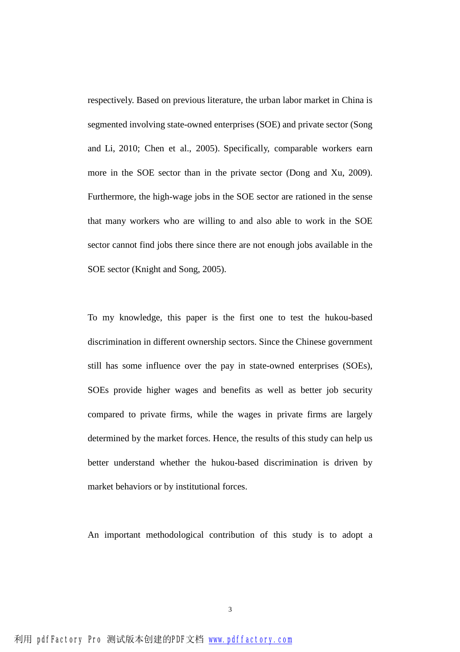respectively. Based on previous literature, the urban labor market in China is segmented involving state-owned enterprises (SOE) and private sector (Song and Li, 2010; Chen et al., 2005). Specifically, comparable workers earn more in the SOE sector than in the private sector (Dong and Xu, 2009). Furthermore, the high-wage jobs in the SOE sector are rationed in the sense that many workers who are willing to and also able to work in the SOE sector cannot find jobs there since there are not enough jobs available in the SOE sector (Knight and Song, 2005).

To my knowledge, this paper is the first one to test the hukou-based discrimination in different ownership sectors. Since the Chinese government still has some influence over the pay in state-owned enterprises (SOEs), SOEs provide higher wages and benefits as well as better job security compared to private firms, while the wages in private firms are largely determined by the market forces. Hence, the results of this study can help us better understand whether the hukou-based discrimination is driven by market behaviors or by institutional forces.

An important methodological contribution of this study is to adopt a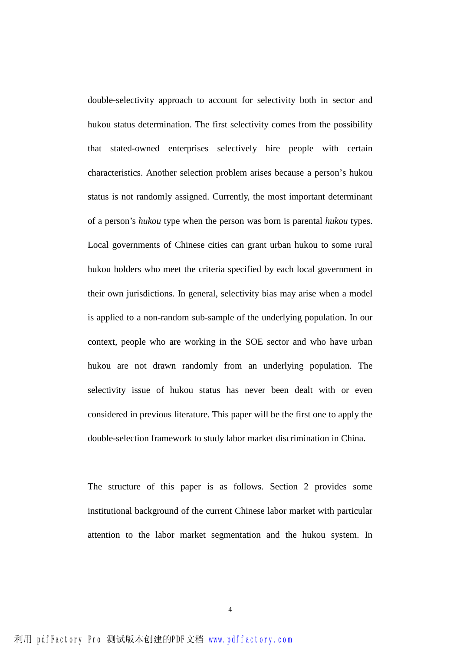double-selectivity approach to account for selectivity both in sector and hukou status determination. The first selectivity comes from the possibility that stated-owned enterprises selectively hire people with certain characteristics. Another selection problem arises because a person's hukou status is not randomly assigned. Currently, the most important determinant of a person's *hukou* type when the person was born is parental *hukou* types. Local governments of Chinese cities can grant urban hukou to some rural hukou holders who meet the criteria specified by each local government in their own jurisdictions. In general, selectivity bias may arise when a model is applied to a non-random sub-sample of the underlying population. In our context, people who are working in the SOE sector and who have urban hukou are not drawn randomly from an underlying population. The selectivity issue of hukou status has never been dealt with or even considered in previous literature. This paper will be the first one to apply the double-selection framework to study labor market discrimination in China.

The structure of this paper is as follows. Section 2 provides some institutional background of the current Chinese labor market with particular attention to the labor market segmentation and the hukou system. In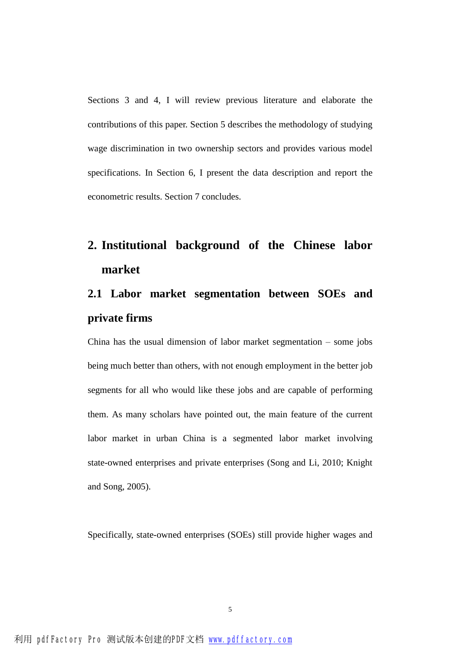Sections 3 and 4, I will review previous literature and elaborate the contributions of this paper. Section 5 describes the methodology of studying wage discrimination in two ownership sectors and provides various model specifications. In Section 6, I present the data description and report the econometric results. Section 7 concludes.

## **2. Institutional background of the Chinese labor market**

## **2.1 Labor market segmentation between SOEs and private firms**

China has the usual dimension of labor market segmentation – some jobs being much better than others, with not enough employment in the better job segments for all who would like these jobs and are capable of performing them. As many scholars have pointed out, the main feature of the current labor market in urban China is a segmented labor market involving state-owned enterprises and private enterprises (Song and Li, 2010; Knight and Song, 2005).

Specifically, state-owned enterprises (SOEs) still provide higher wages and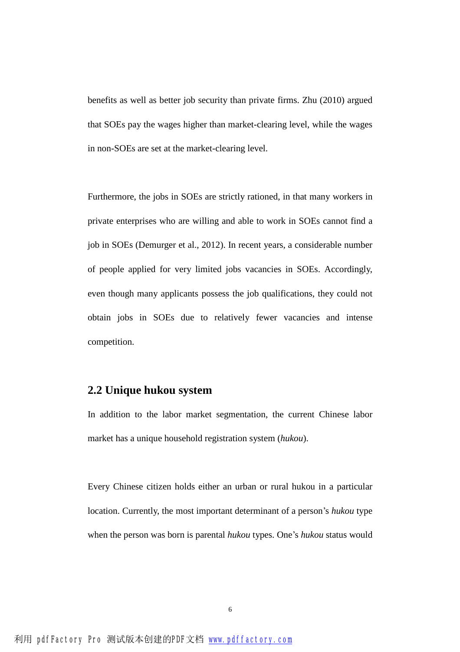benefits as well as better job security than private firms. Zhu (2010) argued that SOEs pay the wages higher than market-clearing level, while the wages in non-SOEs are set at the market-clearing level.

Furthermore, the jobs in SOEs are strictly rationed, in that many workers in private enterprises who are willing and able to work in SOEs cannot find a job in SOEs (Demurger et al., 2012). In recent years, a considerable number of people applied for very limited jobs vacancies in SOEs. Accordingly, even though many applicants possess the job qualifications, they could not obtain jobs in SOEs due to relatively fewer vacancies and intense competition.

## **2.2 Unique hukou system**

In addition to the labor market segmentation, the current Chinese labor market has a unique household registration system (*hukou*).

Every Chinese citizen holds either an urban or rural hukou in a particular location. Currently, the most important determinant of a person's *hukou* type when the person was born is parental *hukou* types. One's *hukou* status would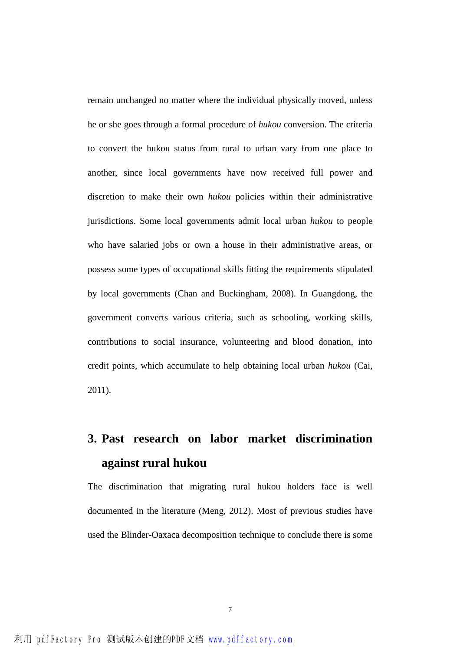remain unchanged no matter where the individual physically moved, unless he or she goes through a formal procedure of *hukou* conversion. The criteria to convert the hukou status from rural to urban vary from one place to another, since local governments have now received full power and discretion to make their own *hukou* policies within their administrative jurisdictions. Some local governments admit local urban *hukou* to people who have salaried jobs or own a house in their administrative areas, or possess some types of occupational skills fitting the requirements stipulated by local governments (Chan and Buckingham, 2008). In Guangdong, the government converts various criteria, such as schooling, working skills, contributions to social insurance, volunteering and blood donation, into credit points, which accumulate to help obtaining local urban *hukou* (Cai, 2011).

## **3. Past research on labor market discrimination against rural hukou**

The discrimination that migrating rural hukou holders face is well documented in the literature (Meng, 2012). Most of previous studies have used the Blinder-Oaxaca decomposition technique to conclude there is some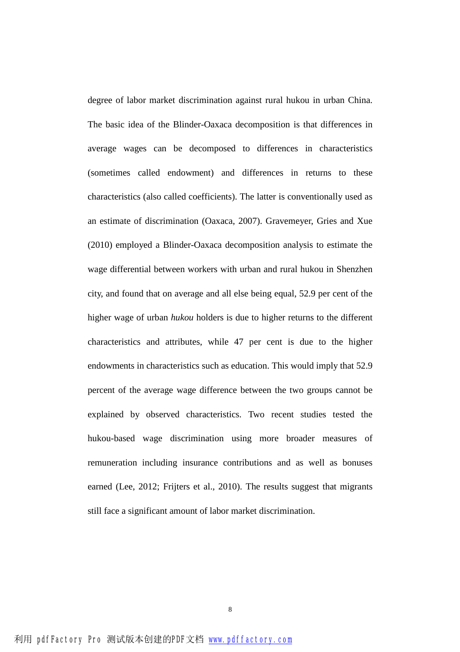degree of labor market discrimination against rural hukou in urban China. The basic idea of the Blinder-Oaxaca decomposition is that differences in average wages can be decomposed to differences in characteristics (sometimes called endowment) and differences in returns to these characteristics (also called coefficients). The latter is conventionally used as an estimate of discrimination (Oaxaca, 2007). Gravemeyer, Gries and Xue (2010) employed a Blinder-Oaxaca decomposition analysis to estimate the wage differential between workers with urban and rural hukou in Shenzhen city, and found that on average and all else being equal, 52.9 per cent of the higher wage of urban *hukou* holders is due to higher returns to the different characteristics and attributes, while 47 per cent is due to the higher endowments in characteristics such as education. This would imply that 52.9 percent of the average wage difference between the two groups cannot be explained by observed characteristics. Two recent studies tested the hukou-based wage discrimination using more broader measures of remuneration including insurance contributions and as well as bonuses earned (Lee, 2012; Frijters et al., 2010). The results suggest that migrants still face a significant amount of labor market discrimination.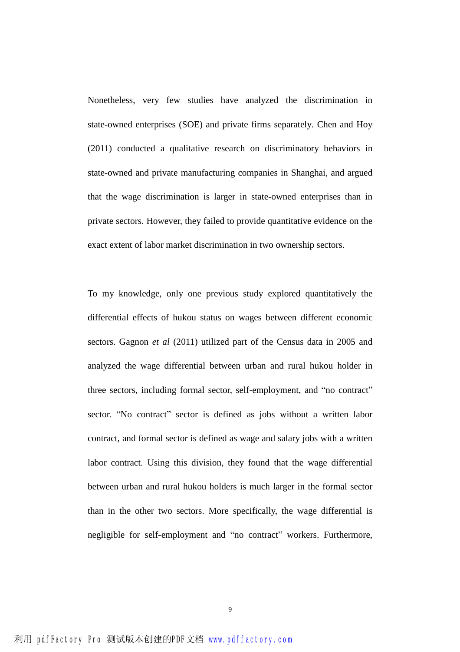Nonetheless, very few studies have analyzed the discrimination in state-owned enterprises (SOE) and private firms separately. Chen and Hoy (2011) conducted a qualitative research on discriminatory behaviors in state-owned and private manufacturing companies in Shanghai, and argued that the wage discrimination is larger in state-owned enterprises than in private sectors. However, they failed to provide quantitative evidence on the exact extent of labor market discrimination in two ownership sectors.

To my knowledge, only one previous study explored quantitatively the differential effects of hukou status on wages between different economic sectors. Gagnon *et al* (2011) utilized part of the Census data in 2005 and analyzed the wage differential between urban and rural hukou holder in three sectors, including formal sector, self-employment, and "no contract" sector. "No contract" sector is defined as jobs without a written labor contract, and formal sector is defined as wage and salary jobs with a written labor contract. Using this division, they found that the wage differential between urban and rural hukou holders is much larger in the formal sector than in the other two sectors. More specifically, the wage differential is negligible for self-employment and "no contract" workers. Furthermore,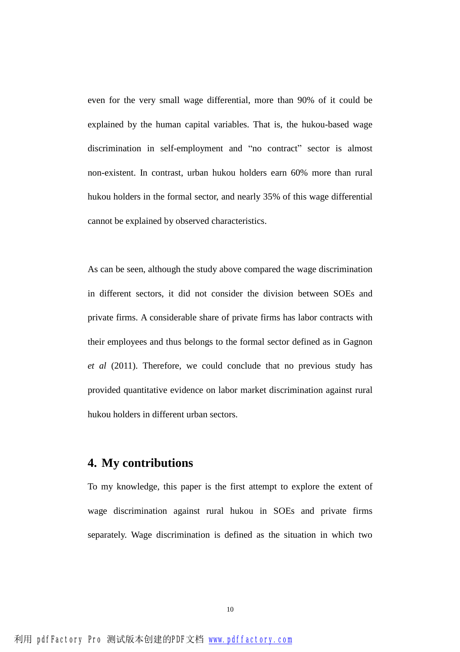even for the very small wage differential, more than 90% of it could be explained by the human capital variables. That is, the hukou-based wage discrimination in self-employment and "no contract" sector is almost non-existent. In contrast, urban hukou holders earn 60% more than rural hukou holders in the formal sector, and nearly 35% of this wage differential cannot be explained by observed characteristics.

As can be seen, although the study above compared the wage discrimination in different sectors, it did not consider the division between SOEs and private firms. A considerable share of private firms has labor contracts with their employees and thus belongs to the formal sector defined as in Gagnon *et al* (2011). Therefore, we could conclude that no previous study has provided quantitative evidence on labor market discrimination against rural hukou holders in different urban sectors.

## **4. My contributions**

To my knowledge, this paper is the first attempt to explore the extent of wage discrimination against rural hukou in SOEs and private firms separately. Wage discrimination is defined as the situation in which two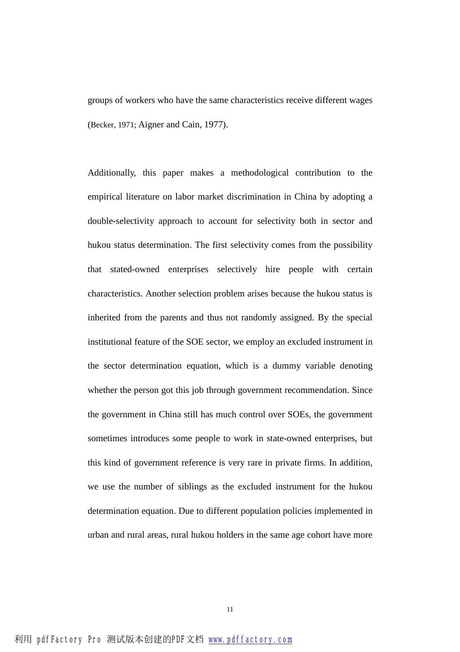groups of workers who have the same characteristics receive different wages (Becker, 1971; Aigner and Cain, 1977).

Additionally, this paper makes a methodological contribution to the empirical literature on labor market discrimination in China by adopting a double-selectivity approach to account for selectivity both in sector and hukou status determination. The first selectivity comes from the possibility that stated-owned enterprises selectively hire people with certain characteristics. Another selection problem arises because the hukou status is inherited from the parents and thus not randomly assigned. By the special institutional feature of the SOE sector, we employ an excluded instrument in the sector determination equation, which is a dummy variable denoting whether the person got this job through government recommendation. Since the government in China still has much control over SOEs, the government sometimes introduces some people to work in state-owned enterprises, but this kind of government reference is very rare in private firms. In addition, we use the number of siblings as the excluded instrument for the hukou determination equation. Due to different population policies implemented in urban and rural areas, rural hukou holders in the same age cohort have more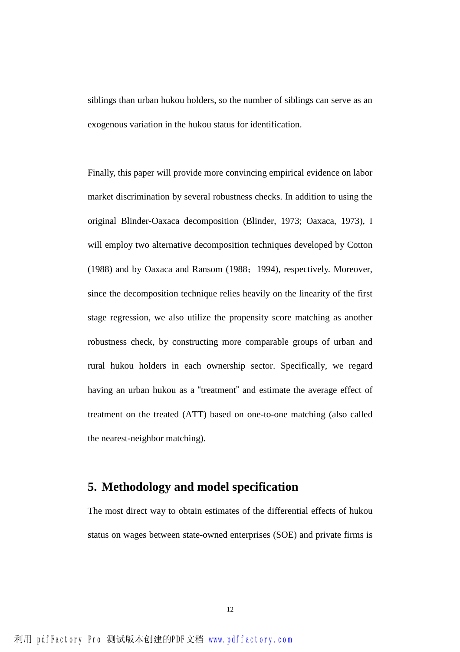siblings than urban hukou holders, so the number of siblings can serve as an exogenous variation in the hukou status for identification.

Finally, this paper will provide more convincing empirical evidence on labor market discrimination by several robustness checks. In addition to using the original Blinder-Oaxaca decomposition (Blinder, 1973; Oaxaca, 1973), I will employ two alternative decomposition techniques developed by Cotton (1988) and by Oaxaca and Ransom (1988;1994), respectively. Moreover, since the decomposition technique relies heavily on the linearity of the first stage regression, we also utilize the propensity score matching as another robustness check, by constructing more comparable groups of urban and rural hukou holders in each ownership sector. Specifically, we regard having an urban hukou as a "treatment" and estimate the average effect of treatment on the treated (ATT) based on one-to-one matching (also called the nearest-neighbor matching).

## **5. Methodology and model specification**

The most direct way to obtain estimates of the differential effects of hukou status on wages between state-owned enterprises (SOE) and private firms is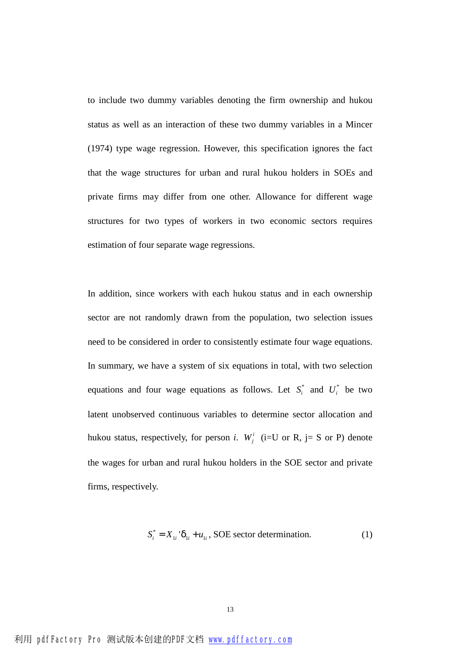to include two dummy variables denoting the firm ownership and hukou status as well as an interaction of these two dummy variables in a Mincer (1974) type wage regression. However, this specification ignores the fact that the wage structures for urban and rural hukou holders in SOEs and private firms may differ from one other. Allowance for different wage structures for two types of workers in two economic sectors requires estimation of four separate wage regressions.

In addition, since workers with each hukou status and in each ownership sector are not randomly drawn from the population, two selection issues need to be considered in order to consistently estimate four wage equations. In summary, we have a system of six equations in total, with two selection equations and four wage equations as follows. Let  $S_i^*$  and  $U_i^*$  be two latent unobserved continuous variables to determine sector allocation and hukou status, respectively, for person *i*.  $W_j^i$  (i=U or R, j= S or P) denote the wages for urban and rural hukou holders in the SOE sector and private firms, respectively.

$$
S_i^* = X_{1i} \, d_{1i} + u_{1i}, \text{SOE sector determination.} \tag{1}
$$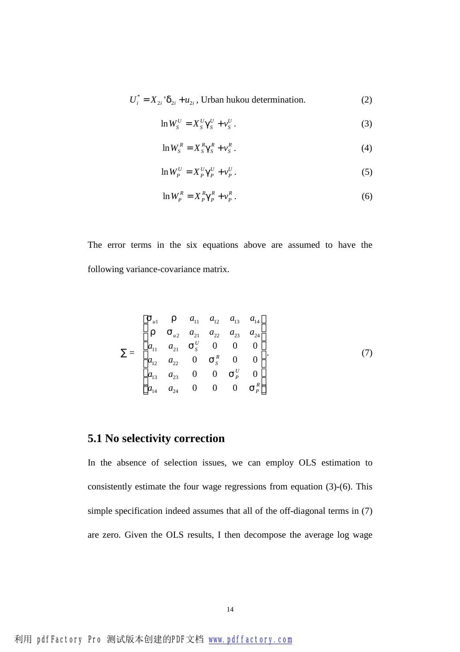$$
U_i^* = X_{2i} \, d_{2i} + u_{2i}
$$
, Urban hukou determination. (2)

$$
\ln W_S^U = X_S^U g_S^U + v_S^U. \tag{3}
$$

$$
\ln W_s^R = X_s^R g_s^R + v_s^R. \tag{4}
$$

$$
\ln W_P^U = X_P^U g_P^U + v_P^U. \tag{5}
$$

$$
\ln W_P^R = X_P^R g_P^R + v_P^R. \tag{6}
$$

The error terms in the six equations above are assumed to have the following variance-covariance matrix.

$$
\Sigma = \begin{bmatrix} \mathbf{S}_{u1} & \mathbf{r} & a_{11} & a_{12} & a_{13} & a_{14} \\ \mathbf{r} & \mathbf{S}_{u2} & a_{21} & a_{22} & a_{23} & a_{24} \\ a_{11} & a_{21} & \mathbf{S}_{S}^{U} & 0 & 0 & 0 \\ a_{12} & a_{22} & 0 & \mathbf{S}_{S}^{R} & 0 & 0 \\ a_{13} & a_{23} & 0 & 0 & \mathbf{S}_{P}^{U} & 0 \\ a_{14} & a_{24} & 0 & 0 & 0 & \mathbf{S}_{P}^{R} \end{bmatrix}.
$$
 (7)

## **5.1 No selectivity correction**

In the absence of selection issues, we can employ OLS estimation to consistently estimate the four wage regressions from equation (3)-(6). This simple specification indeed assumes that all of the off-diagonal terms in (7) are zero. Given the OLS results, I then decompose the average log wage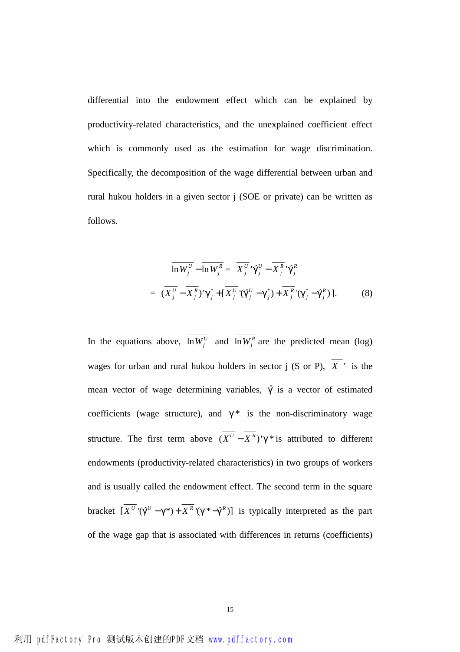differential into the endowment effect which can be explained by productivity-related characteristics, and the unexplained coefficient effect which is commonly used as the estimation for wage discrimination. Specifically, the decomposition of the wage differential between urban and rural hukou holders in a given sector j (SOE or private) can be written as follows.

$$
\overline{\ln W_j^U} - \overline{\ln W_j^R} = \overline{X_j^U}^i \hat{g}_j^U - \overline{X_j^R}^i \hat{g}_j^R
$$
  
=  $(\overline{X_j^U} - \overline{X_j^R})^i \hat{g}_j^* + [\overline{X_j^U}^i(\hat{g}_j^U - g_j^*) + \overline{X_j^R}^i(\hat{g}_j^* - \hat{g}_j^R)].$  (8)

In the equations above,  $\ln W_j^U$  and  $\ln W_j^R$  are the predicted mean (log) wages for urban and rural hukou holders in sector j (S or P),  $\overline{X}$  is the mean vector of wage determining variables,  $\hat{g}$  is a vector of estimated coefficients (wage structure), and  $g^*$  is the non-discriminatory wage structure. The first term above  $(\overline{X^{U}} - \overline{X^{R}})'g *$  is attributed to different endowments (productivity-related characteristics) in two groups of workers and is usually called the endowment effect. The second term in the square bracket  $\left[ \overline{X^{U}}'(\hat{g}^{U} - g^{*}) + \overline{X^{R}}'(g^{*} - \hat{g}^{R}) \right]$  is typically interpreted as the part of the wage gap that is associated with differences in returns (coefficients)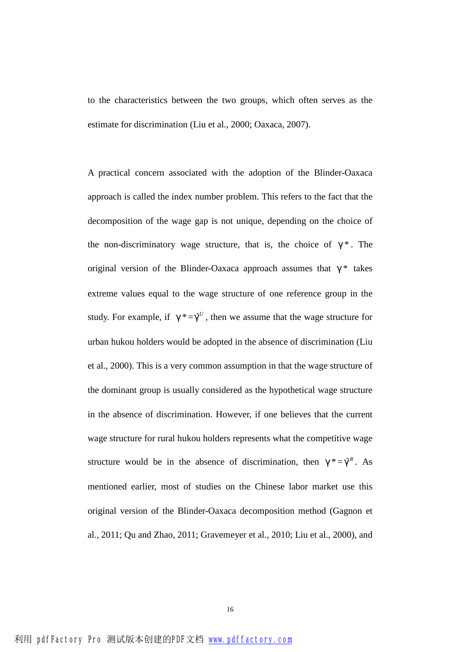to the characteristics between the two groups, which often serves as the estimate for discrimination (Liu et al., 2000; Oaxaca, 2007).

A practical concern associated with the adoption of the Blinder-Oaxaca approach is called the index number problem. This refers to the fact that the decomposition of the wage gap is not unique, depending on the choice of the non-discriminatory wage structure, that is, the choice of  $g^*$ . The original version of the Blinder-Oaxaca approach assumes that  $g^*$  takes extreme values equal to the wage structure of one reference group in the study. For example, if  $g^* = \hat{g}^U$ , then we assume that the wage structure for urban hukou holders would be adopted in the absence of discrimination (Liu et al., 2000). This is a very common assumption in that the wage structure of the dominant group is usually considered as the hypothetical wage structure in the absence of discrimination. However, if one believes that the current wage structure for rural hukou holders represents what the competitive wage structure would be in the absence of discrimination, then  $g^* = \hat{g}^R$ . As mentioned earlier, most of studies on the Chinese labor market use this original version of the Blinder-Oaxaca decomposition method (Gagnon et al., 2011; Qu and Zhao, 2011; Gravemeyer et al., 2010; Liu et al., 2000), and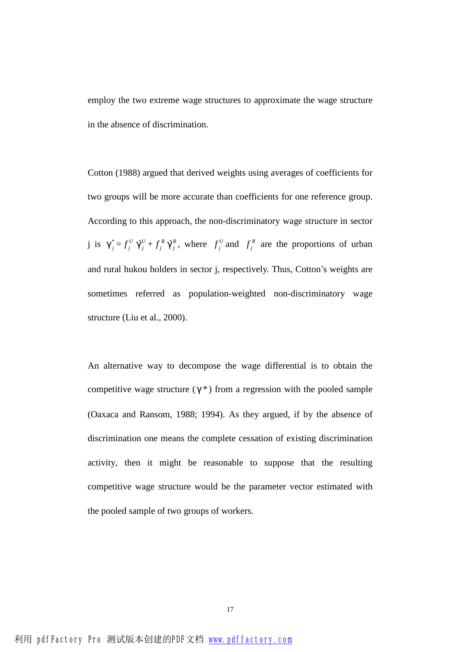employ the two extreme wage structures to approximate the wage structure in the absence of discrimination.

Cotton (1988) argued that derived weights using averages of coefficients for two groups will be more accurate than coefficients for one reference group. According to this approach, the non-discriminatory wage structure in sector j is  $g_j^* = f_j^U$  $f^U_j \stackrel{\sim}{\bm{g}}^U_j$  $\hat{\mathbf{g}}_j^U$  +  $f_j^R$  $f_j^R \, \hat{{\bm g}}_j^R$  $\hat{g}_j^R$ , where  $f_j^U$  and  $f_j^R$  are the proportions of urban and rural hukou holders in sector j, respectively. Thus, Cotton's weights are sometimes referred as population-weighted non-discriminatory wage structure (Liu et al., 2000).

An alternative way to decompose the wage differential is to obtain the competitive wage structure  $(g^*)$  from a regression with the pooled sample (Oaxaca and Ransom, 1988; 1994). As they argued, if by the absence of discrimination one means the complete cessation of existing discrimination activity, then it might be reasonable to suppose that the resulting competitive wage structure would be the parameter vector estimated with the pooled sample of two groups of workers.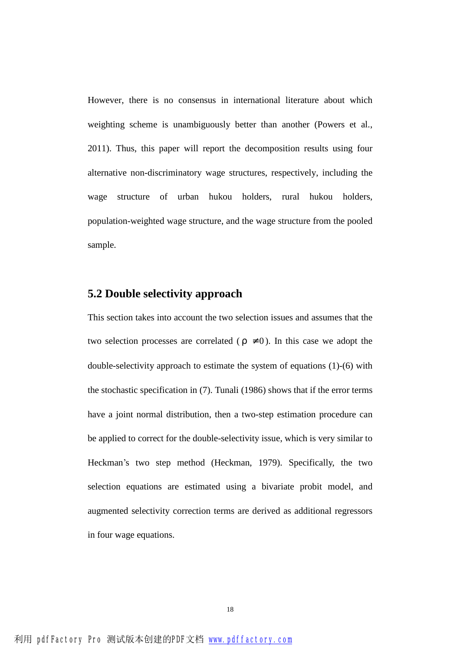However, there is no consensus in international literature about which weighting scheme is unambiguously better than another (Powers et al., 2011). Thus, this paper will report the decomposition results using four alternative non-discriminatory wage structures, respectively, including the wage structure of urban hukou holders, rural hukou holders, population-weighted wage structure, and the wage structure from the pooled sample.

### **5.2 Double selectivity approach**

This section takes into account the two selection issues and assumes that the two selection processes are correlated ( $r \neq 0$ ). In this case we adopt the double-selectivity approach to estimate the system of equations (1)-(6) with the stochastic specification in (7). Tunali (1986) shows that if the error terms have a joint normal distribution, then a two-step estimation procedure can be applied to correct for the double-selectivity issue, which is very similar to Heckman's two step method (Heckman, 1979). Specifically, the two selection equations are estimated using a bivariate probit model, and augmented selectivity correction terms are derived as additional regressors in four wage equations.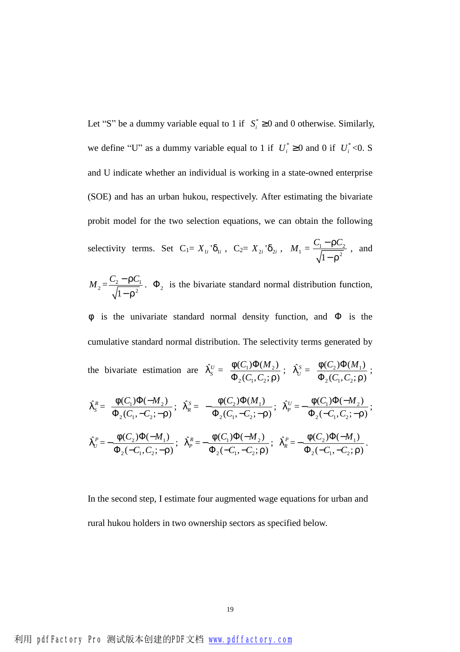Let "S" be a dummy variable equal to 1 if  $S_i^* \ge 0$  and 0 otherwise. Similarly, we define "U" as a dummy variable equal to 1 if  $U_i^* \ge 0$  and 0 if  $U_i^* < 0$ . S and U indicate whether an individual is working in a state-owned enterprise (SOE) and has an urban hukou, respectively. After estimating the bivariate probit model for the two selection equations, we can obtain the following selectivity terms. Set  $C_1 = X_{1i} d_{1i}$ ,  $C_2 = X_{2i} d_{2i}$ ,  $M_1 = \frac{C_1 - C_2}{\sqrt{C_1 - C_2}}$  $1 - r^2$  $C_1 - rC$ *r* − − , and

 $M_2 = \frac{C_2 + C_1}{\sqrt{2}}$  $1 - r^2$  $C_2 - rC$ *r* − − .  $\Phi_2$  is the bivariate standard normal distribution function,

*f* is the univariate standard normal density function, and  $\Phi$  is the cumulative standard normal distribution. The selectivity terms generated by the bivariate estimation are  $\hat{I}_s^U = \frac{I(C_1)\Phi(M_2)}{\Phi(G_1)\Phi(G_2)}$  $2(v_1, v_2)$  $(C_1) \Phi(M_2)$  $(C_1, C_2; r)$  $C_1)\Phi(M$  $C_1, C_2$ *f r* Φ Φ  $\hat{I}_U^S = \frac{I(C_2)\Phi(M_1)}{\Phi(G_1G_2)}$  $2(v_1, v_2)$  $(C_2) \Phi(M_1)$  $(C_1, C_2; r)$  $C_2 \Theta(M)$  $C_{1}$ ,  $C$ *f r* Φ Φ ;  $\hat{I}_s^R = \frac{I(C_1)\Phi(-M_2)}{\Phi(G_1 - G_2)}$  $2(v_1, -v_2)$  $(C_1) \Phi(-M_2)$  $(C_1, -C_2, -r)$  $C_1) \Phi(-M)$  $C_1$ ,  $-C$ *f r*  $\Phi( \Phi_2(C_1, -C_2)$ : ;  $\hat{I}_R^S = -\frac{\Gamma(C_2)\Phi(M_1)}{\Phi(G_1-G_2)}$  $2(v_1, -v_2)$  $(C_2) \Phi(M_1)$  $(C_1, -C_2, -r)$  $C_2 \Theta(M)$  $C_1$ ,  $-C$ *f r*  $-\frac{f(C_2)\Phi}{\Phi}$  $\Phi_2(C_1, -C_2)$ : ;  $\hat{I}_P^U = -\frac{\Gamma(C_1)\Phi(-M_2)}{\Phi(C_1+C_2)}$  $2(-c_1, c_2)$  $(C_1) \Phi(-M_2)$  $(-C_1, C_2; -r)$  $C_1) \Phi(-M)$  $C_{1}$ ,  $C$ *f r*  $-\frac{f(C_1)\Phi(-)}{1-\Phi(-)}$  $\Phi_2(-C_1, C_2; -$ ;  $\hat{I}_U^P = -\frac{I(C_2)\Phi(-M_1)}{\Phi(C_1-C_2)}$  $2^{\prime}$   $\mathbf{C}_1$ ,  $\mathbf{C}_2$  $(C_2) \Phi(-M_1)$  $(-C_1, C_2; -r)$  $C_2 \Theta(-M)$  $C_{1}$ ,  $C$ *f r*  $-\frac{f(C_2)\Phi(-)}{f(C_2)\Phi(-)}$  $\Phi_2(-C_1, C_2; -$ ;  $\hat{I}_P^R = -\frac{I(C_1)\Phi(-M_2)}{\Phi(C_1-C_2)}$  $2^{\prime}$   $C_1^{\prime}$ ,  $C_2^{\prime}$  $(C_1) \Phi(-M_2)$  $(-C_1, -C_2; r)$  $C_1$ ) $\Phi$ ( $-M$  $C_{1}$ ,  $-C$ *f r*  $-\frac{f(C_1)\Phi(-)}{f(C_1)\Phi(-)}$  $\Phi_{2}(-C_{1},-$ ;  $\hat{I}_R^P = -\frac{I(C_2)\Phi(-M_1)}{\Phi(C_1-C_2)}$  $2^{\prime}$   $C_1^{\prime}$ ,  $C_2^{\prime}$  $(C_2) \Phi(-M_1)$  $(-C_1, -C_2; r)$  $C_2 \Theta(-M)$  $C_{1}$ ,  $-C$ *f r*  $-\frac{f(C_2)\Phi(-)}{f(C_2)}$  $\Phi_{2}(-C_{1},-$ .

In the second step, I estimate four augmented wage equations for urban and rural hukou holders in two ownership sectors as specified below.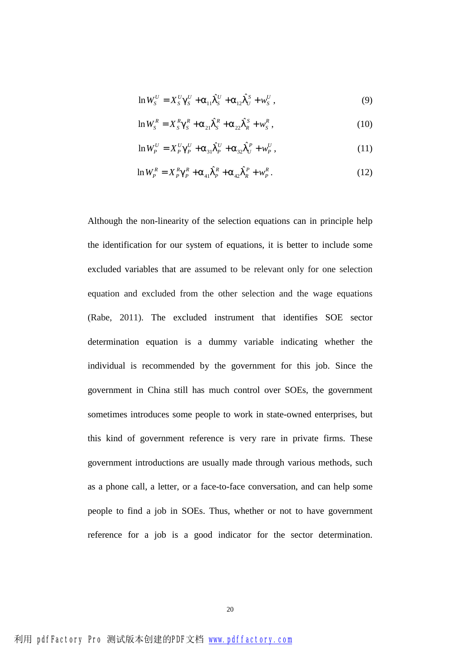$$
\ln W_{S}^{U} = X_{S}^{U} g_{S}^{U} + a_{11} \hat{I}_{S}^{U} + a_{12} \hat{I}_{U}^{S} + w_{S}^{U}, \qquad (9)
$$

$$
\ln W_{S}^{R} = X_{S}^{R} g_{S}^{R} + a_{21} \hat{I}_{S}^{R} + a_{22} \hat{I}_{R}^{S} + w_{S}^{R}, \qquad (10)
$$

$$
\ln W_P^U = X_P^U g_P^U + a_{31} \hat{I}_P^U + a_{32} \hat{I}_U^P + w_P^U,
$$
\n(11)

$$
\ln W_P^R = X_P^R g_P^R + a_{41} \hat{I}_P^R + a_{42} \hat{I}_R^P + w_P^R. \tag{12}
$$

Although the non-linearity of the selection equations can in principle help the identification for our system of equations, it is better to include some excluded variables that are assumed to be relevant only for one selection equation and excluded from the other selection and the wage equations (Rabe, 2011). The excluded instrument that identifies SOE sector determination equation is a dummy variable indicating whether the individual is recommended by the government for this job. Since the government in China still has much control over SOEs, the government sometimes introduces some people to work in state-owned enterprises, but this kind of government reference is very rare in private firms. These government introductions are usually made through various methods, such as a phone call, a letter, or a face-to-face conversation, and can help some people to find a job in SOEs. Thus, whether or not to have government reference for a job is a good indicator for the sector determination.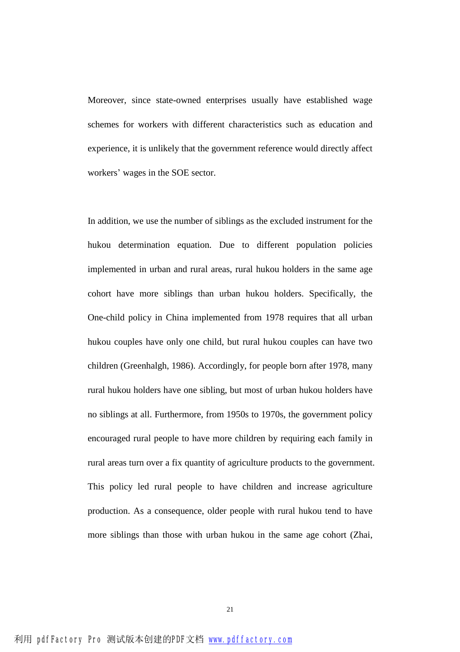Moreover, since state-owned enterprises usually have established wage schemes for workers with different characteristics such as education and experience, it is unlikely that the government reference would directly affect workers' wages in the SOE sector.

In addition, we use the number of siblings as the excluded instrument for the hukou determination equation. Due to different population policies implemented in urban and rural areas, rural hukou holders in the same age cohort have more siblings than urban hukou holders. Specifically, the One-child policy in China implemented from 1978 requires that all urban hukou couples have only one child, but rural hukou couples can have two children (Greenhalgh, 1986). Accordingly, for people born after 1978, many rural hukou holders have one sibling, but most of urban hukou holders have no siblings at all. Furthermore, from 1950s to 1970s, the government policy encouraged rural people to have more children by requiring each family in rural areas turn over a fix quantity of agriculture products to the government. This policy led rural people to have children and increase agriculture production. As a consequence, older people with rural hukou tend to have more siblings than those with urban hukou in the same age cohort (Zhai,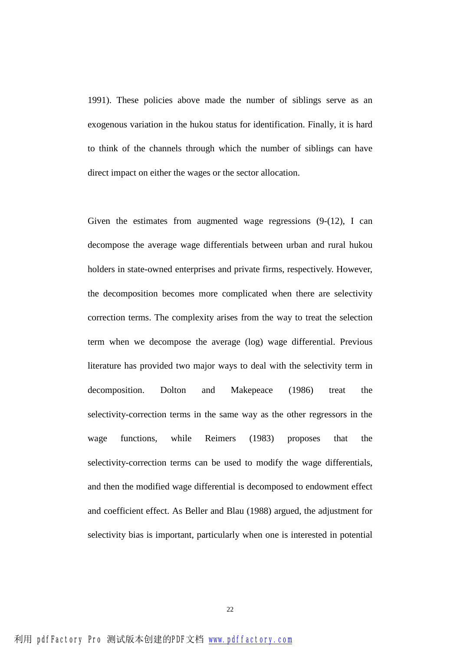1991). These policies above made the number of siblings serve as an exogenous variation in the hukou status for identification. Finally, it is hard to think of the channels through which the number of siblings can have direct impact on either the wages or the sector allocation.

Given the estimates from augmented wage regressions (9-(12), I can decompose the average wage differentials between urban and rural hukou holders in state-owned enterprises and private firms, respectively. However, the decomposition becomes more complicated when there are selectivity correction terms. The complexity arises from the way to treat the selection term when we decompose the average (log) wage differential. Previous literature has provided two major ways to deal with the selectivity term in decomposition. Dolton and Makepeace (1986) treat the selectivity-correction terms in the same way as the other regressors in the wage functions, while Reimers (1983) proposes that the selectivity-correction terms can be used to modify the wage differentials, and then the modified wage differential is decomposed to endowment effect and coefficient effect. As Beller and Blau (1988) argued, the adjustment for selectivity bias is important, particularly when one is interested in potential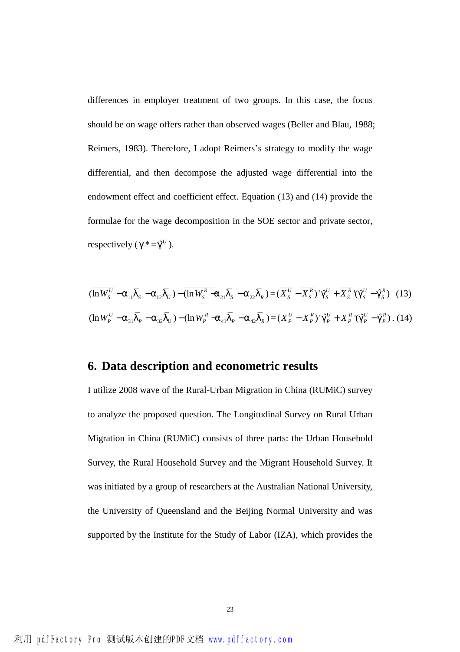differences in employer treatment of two groups. In this case, the focus should be on wage offers rather than observed wages (Beller and Blau, 1988; Reimers, 1983). Therefore, I adopt Reimers's strategy to modify the wage differential, and then decompose the adjusted wage differential into the endowment effect and coefficient effect. Equation (13) and (14) provide the formulae for the wage decomposition in the SOE sector and private sector, respectively  $(g^* = \hat{g}^U)$ .

$$
(\overline{\ln W_{S}^{U}} - a_{11}\overline{I}_{S} - a_{12}\overline{I}_{U}) - (\overline{\ln W_{S}^{R}} - a_{21}\overline{I}_{S} - a_{22}\overline{I}_{R}) = (\overline{X_{S}^{U}} - \overline{X_{S}^{R}})^{\prime}\hat{g}_{S}^{U} + \overline{X_{S}^{R}}^{\prime}(\hat{g}_{S}^{U} - \hat{g}_{S}^{R}) \quad (13)
$$
  

$$
(\overline{\ln W_{P}^{U}} - a_{31}\overline{I}_{P} - a_{32}\overline{I}_{U}) - (\overline{\ln W_{P}^{R}} - a_{41}\overline{I}_{P} - a_{42}\overline{I}_{R}) = (\overline{X_{P}^{U}} - \overline{X_{P}^{R}})^{\prime}\hat{g}_{P}^{U} + \overline{X_{P}^{R}}^{\prime}(\hat{g}_{P}^{U} - \hat{g}_{P}^{R}) \quad (14)
$$

## **6. Data description and econometric results**

I utilize 2008 wave of the Rural-Urban Migration in China (RUMiC) survey to analyze the proposed question. The Longitudinal Survey on Rural Urban Migration in China (RUMiC) consists of three parts: the Urban Household Survey, the Rural Household Survey and the Migrant Household Survey. It was initiated by a group of researchers at the Australian National University, the University of Queensland and the Beijing Normal University and was supported by the Institute for the Study of Labor (IZA), which provides the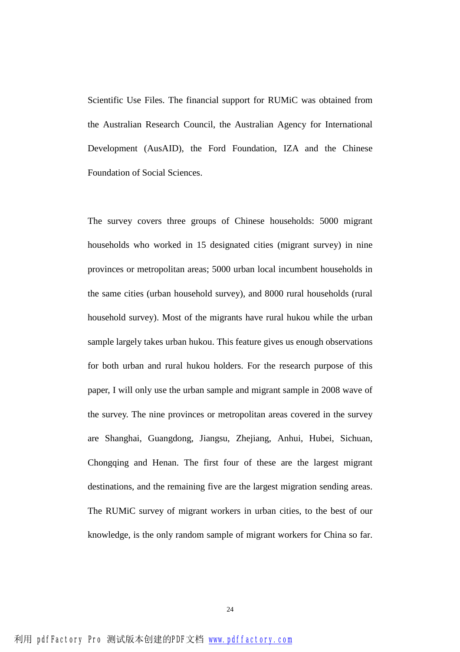Scientific Use Files. The financial support for RUMiC was obtained from the Australian Research Council, the Australian Agency for International Development (AusAID), the Ford Foundation, IZA and the Chinese Foundation of Social Sciences.

The survey covers three groups of Chinese households: 5000 migrant households who worked in 15 designated cities (migrant survey) in nine provinces or metropolitan areas; 5000 urban local incumbent households in the same cities (urban household survey), and 8000 rural households (rural household survey). Most of the migrants have rural hukou while the urban sample largely takes urban hukou. This feature gives us enough observations for both urban and rural hukou holders. For the research purpose of this paper, I will only use the urban sample and migrant sample in 2008 wave of the survey. The nine provinces or metropolitan areas covered in the survey are Shanghai, Guangdong, Jiangsu, Zhejiang, Anhui, Hubei, Sichuan, Chongqing and Henan. The first four of these are the largest migrant destinations, and the remaining five are the largest migration sending areas. The RUMiC survey of migrant workers in urban cities, to the best of our knowledge, is the only random sample of migrant workers for China so far.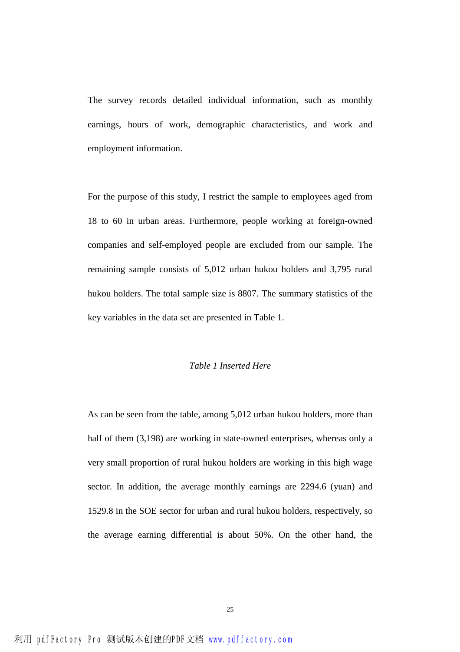The survey records detailed individual information, such as monthly earnings, hours of work, demographic characteristics, and work and employment information.

For the purpose of this study, I restrict the sample to employees aged from 18 to 60 in urban areas. Furthermore, people working at foreign-owned companies and self-employed people are excluded from our sample. The remaining sample consists of 5,012 urban hukou holders and 3,795 rural hukou holders. The total sample size is 8807. The summary statistics of the key variables in the data set are presented in Table 1.

### *Table 1 Inserted Here*

As can be seen from the table, among 5,012 urban hukou holders, more than half of them  $(3,198)$  are working in state-owned enterprises, whereas only a very small proportion of rural hukou holders are working in this high wage sector. In addition, the average monthly earnings are 2294.6 (yuan) and 1529.8 in the SOE sector for urban and rural hukou holders, respectively, so the average earning differential is about 50%. On the other hand, the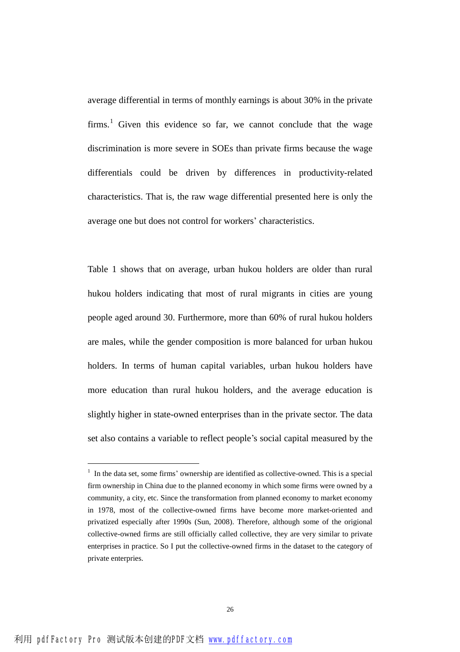average differential in terms of monthly earnings is about 30% in the private firms.<sup>1</sup> Given this evidence so far, we cannot conclude that the wage discrimination is more severe in SOEs than private firms because the wage differentials could be driven by differences in productivity-related characteristics. That is, the raw wage differential presented here is only the average one but does not control for workers' characteristics.

Table 1 shows that on average, urban hukou holders are older than rural hukou holders indicating that most of rural migrants in cities are young people aged around 30. Furthermore, more than 60% of rural hukou holders are males, while the gender composition is more balanced for urban hukou holders. In terms of human capital variables, urban hukou holders have more education than rural hukou holders, and the average education is slightly higher in state-owned enterprises than in the private sector. The data set also contains a variable to reflect people's social capital measured by the

l

 $<sup>1</sup>$  In the data set, some firms' ownership are identified as collective-owned. This is a special</sup> firm ownership in China due to the planned economy in which some firms were owned by a community, a city, etc. Since the transformation from planned economy to market economy in 1978, most of the collective-owned firms have become more market-oriented and privatized especially after 1990s (Sun, 2008). Therefore, although some of the origional collective-owned firms are still officially called collective, they are very similar to private enterprises in practice. So I put the collective-owned firms in the dataset to the category of private enterpries.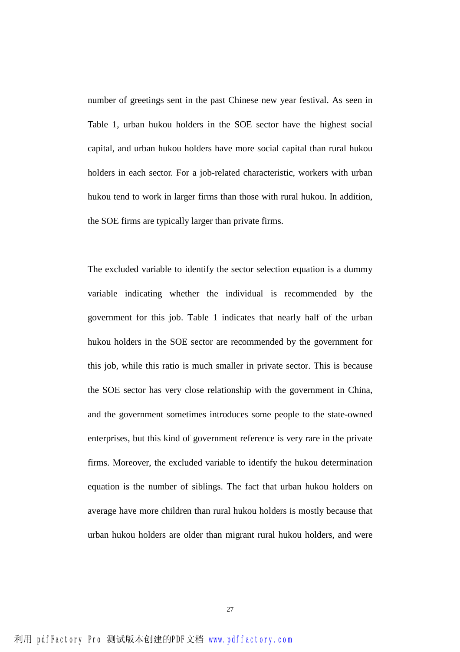number of greetings sent in the past Chinese new year festival. As seen in Table 1, urban hukou holders in the SOE sector have the highest social capital, and urban hukou holders have more social capital than rural hukou holders in each sector. For a job-related characteristic, workers with urban hukou tend to work in larger firms than those with rural hukou. In addition, the SOE firms are typically larger than private firms.

The excluded variable to identify the sector selection equation is a dummy variable indicating whether the individual is recommended by the government for this job. Table 1 indicates that nearly half of the urban hukou holders in the SOE sector are recommended by the government for this job, while this ratio is much smaller in private sector. This is because the SOE sector has very close relationship with the government in China, and the government sometimes introduces some people to the state-owned enterprises, but this kind of government reference is very rare in the private firms. Moreover, the excluded variable to identify the hukou determination equation is the number of siblings. The fact that urban hukou holders on average have more children than rural hukou holders is mostly because that urban hukou holders are older than migrant rural hukou holders, and were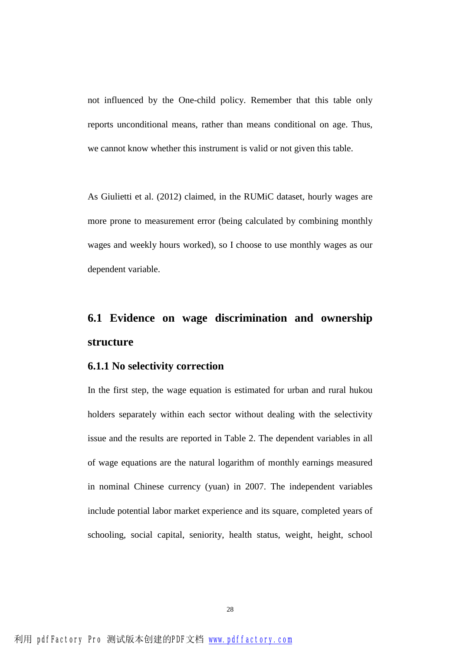not influenced by the One-child policy. Remember that this table only reports unconditional means, rather than means conditional on age. Thus, we cannot know whether this instrument is valid or not given this table.

As Giulietti et al. (2012) claimed, in the RUMiC dataset, hourly wages are more prone to measurement error (being calculated by combining monthly wages and weekly hours worked), so I choose to use monthly wages as our dependent variable.

## **6.1 Evidence on wage discrimination and ownership structure**

### **6.1.1 No selectivity correction**

In the first step, the wage equation is estimated for urban and rural hukou holders separately within each sector without dealing with the selectivity issue and the results are reported in Table 2. The dependent variables in all of wage equations are the natural logarithm of monthly earnings measured in nominal Chinese currency (yuan) in 2007. The independent variables include potential labor market experience and its square, completed years of schooling, social capital, seniority, health status, weight, height, school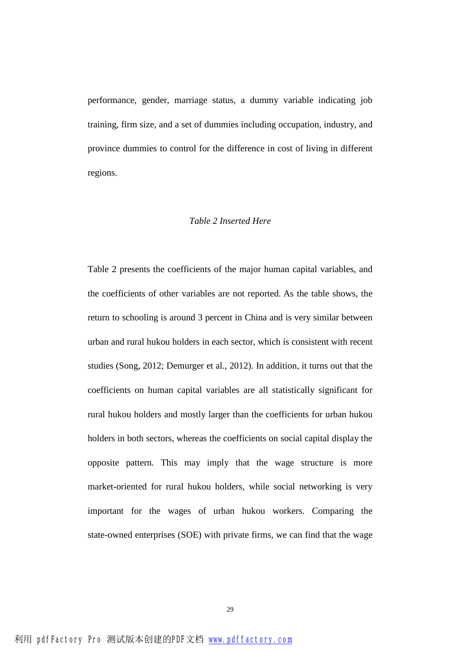performance, gender, marriage status, a dummy variable indicating job training, firm size, and a set of dummies including occupation, industry, and province dummies to control for the difference in cost of living in different regions.

#### *Table 2 Inserted Here*

Table 2 presents the coefficients of the major human capital variables, and the coefficients of other variables are not reported. As the table shows, the return to schooling is around 3 percent in China and is very similar between urban and rural hukou holders in each sector, which is consistent with recent studies (Song, 2012; Demurger et al., 2012). In addition, it turns out that the coefficients on human capital variables are all statistically significant for rural hukou holders and mostly larger than the coefficients for urban hukou holders in both sectors, whereas the coefficients on social capital display the opposite pattern. This may imply that the wage structure is more market-oriented for rural hukou holders, while social networking is very important for the wages of urban hukou workers. Comparing the state-owned enterprises (SOE) with private firms, we can find that the wage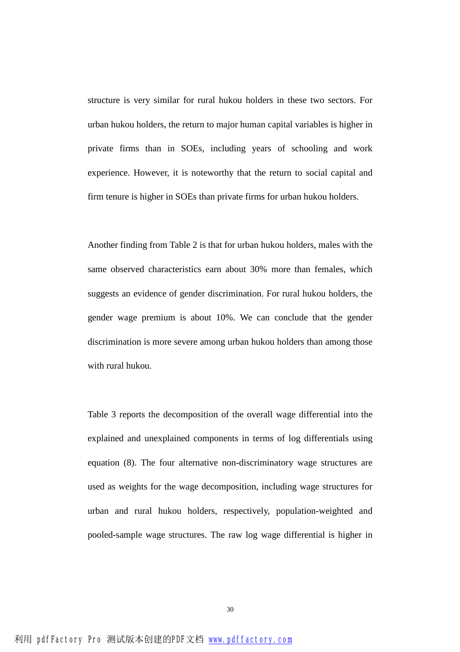structure is very similar for rural hukou holders in these two sectors. For urban hukou holders, the return to major human capital variables is higher in private firms than in SOEs, including years of schooling and work experience. However, it is noteworthy that the return to social capital and firm tenure is higher in SOEs than private firms for urban hukou holders.

Another finding from Table 2 is that for urban hukou holders, males with the same observed characteristics earn about 30% more than females, which suggests an evidence of gender discrimination. For rural hukou holders, the gender wage premium is about 10%. We can conclude that the gender discrimination is more severe among urban hukou holders than among those with rural hukou.

Table 3 reports the decomposition of the overall wage differential into the explained and unexplained components in terms of log differentials using equation (8). The four alternative non-discriminatory wage structures are used as weights for the wage decomposition, including wage structures for urban and rural hukou holders, respectively, population-weighted and pooled-sample wage structures. The raw log wage differential is higher in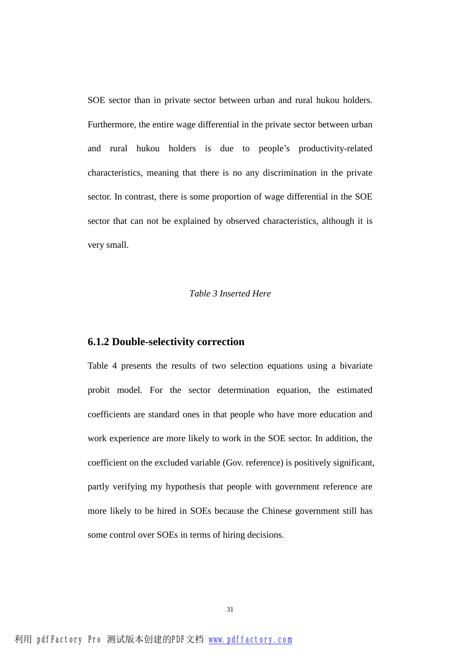SOE sector than in private sector between urban and rural hukou holders. Furthermore, the entire wage differential in the private sector between urban and rural hukou holders is due to people's productivity-related characteristics, meaning that there is no any discrimination in the private sector. In contrast, there is some proportion of wage differential in the SOE sector that can not be explained by observed characteristics, although it is very small.

#### *Table 3 Inserted Here*

### **6.1.2 Double-selectivity correction**

Table 4 presents the results of two selection equations using a bivariate probit model. For the sector determination equation, the estimated coefficients are standard ones in that people who have more education and work experience are more likely to work in the SOE sector. In addition, the coefficient on the excluded variable (Gov. reference) is positively significant, partly verifying my hypothesis that people with government reference are more likely to be hired in SOEs because the Chinese government still has some control over SOEs in terms of hiring decisions.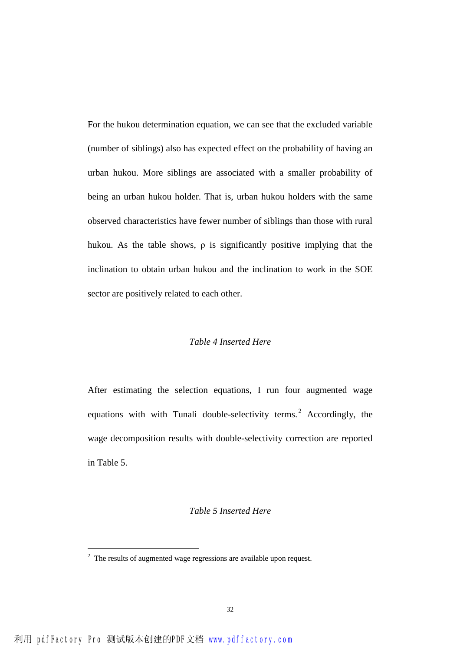For the hukou determination equation, we can see that the excluded variable (number of siblings) also has expected effect on the probability of having an urban hukou. More siblings are associated with a smaller probability of being an urban hukou holder. That is, urban hukou holders with the same observed characteristics have fewer number of siblings than those with rural hukou. As the table shows,  $\rho$  is significantly positive implying that the inclination to obtain urban hukou and the inclination to work in the SOE sector are positively related to each other.

#### *Table 4 Inserted Here*

After estimating the selection equations, I run four augmented wage equations with with Tunali double-selectivity terms.<sup>2</sup> Accordingly, the wage decomposition results with double-selectivity correction are reported in Table 5.

#### *Table 5 Inserted Here*

 $\overline{a}$ 

<sup>&</sup>lt;sup>2</sup> The results of augmented wage regressions are available upon request.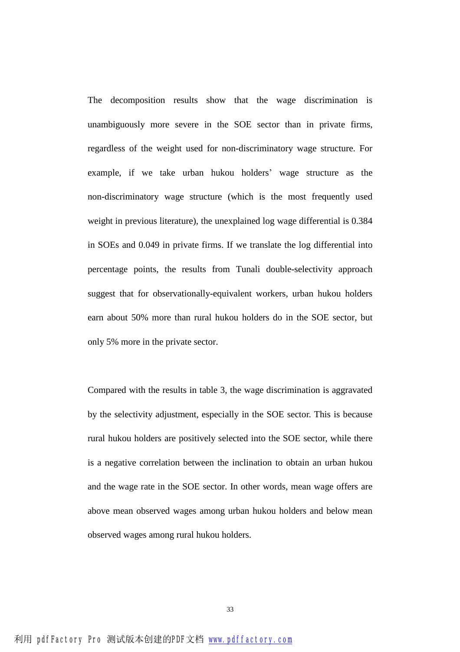The decomposition results show that the wage discrimination is unambiguously more severe in the SOE sector than in private firms, regardless of the weight used for non-discriminatory wage structure. For example, if we take urban hukou holders' wage structure as the non-discriminatory wage structure (which is the most frequently used weight in previous literature), the unexplained log wage differential is 0.384 in SOEs and 0.049 in private firms. If we translate the log differential into percentage points, the results from Tunali double-selectivity approach suggest that for observationally-equivalent workers, urban hukou holders earn about 50% more than rural hukou holders do in the SOE sector, but only 5% more in the private sector.

Compared with the results in table 3, the wage discrimination is aggravated by the selectivity adjustment, especially in the SOE sector. This is because rural hukou holders are positively selected into the SOE sector, while there is a negative correlation between the inclination to obtain an urban hukou and the wage rate in the SOE sector. In other words, mean wage offers are above mean observed wages among urban hukou holders and below mean observed wages among rural hukou holders.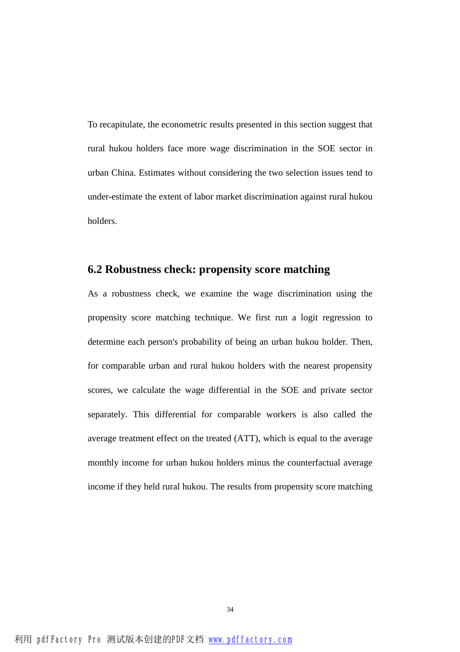To recapitulate, the econometric results presented in this section suggest that rural hukou holders face more wage discrimination in the SOE sector in urban China. Estimates without considering the two selection issues tend to under-estimate the extent of labor market discrimination against rural hukou holders.

## **6.2 Robustness check: propensity score matching**

As a robustness check, we examine the wage discrimination using the propensity score matching technique. We first run a logit regression to determine each person's probability of being an urban hukou holder. Then, for comparable urban and rural hukou holders with the nearest propensity scores, we calculate the wage differential in the SOE and private sector separately. This differential for comparable workers is also called the average treatment effect on the treated (ATT), which is equal to the average monthly income for urban hukou holders minus the counterfactual average income if they held rural hukou. The results from propensity score matching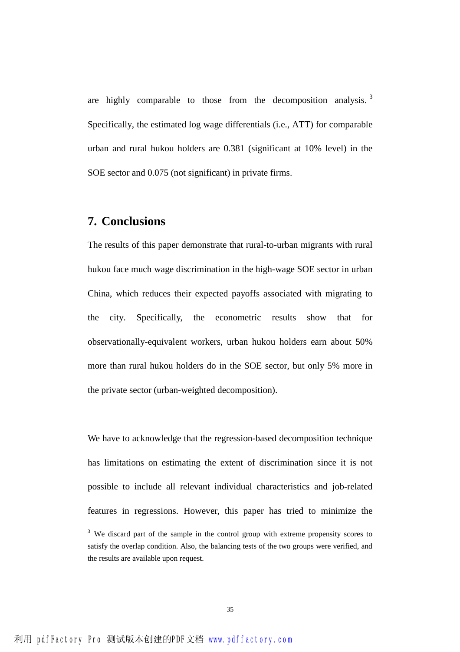are highly comparable to those from the decomposition analysis.  $3\overline{ }$ Specifically, the estimated log wage differentials (i.e., ATT) for comparable urban and rural hukou holders are 0.381 (significant at 10% level) in the SOE sector and 0.075 (not significant) in private firms.

## **7. Conclusions**

The results of this paper demonstrate that rural-to-urban migrants with rural hukou face much wage discrimination in the high-wage SOE sector in urban China, which reduces their expected payoffs associated with migrating to the city. Specifically, the econometric results show that for observationally-equivalent workers, urban hukou holders earn about 50% more than rural hukou holders do in the SOE sector, but only 5% more in the private sector (urban-weighted decomposition).

We have to acknowledge that the regression-based decomposition technique has limitations on estimating the extent of discrimination since it is not possible to include all relevant individual characteristics and job-related features in regressions. However, this paper has tried to minimize the

l

<sup>&</sup>lt;sup>3</sup> We discard part of the sample in the control group with extreme propensity scores to satisfy the overlap condition. Also, the balancing tests of the two groups were verified, and the results are available upon request.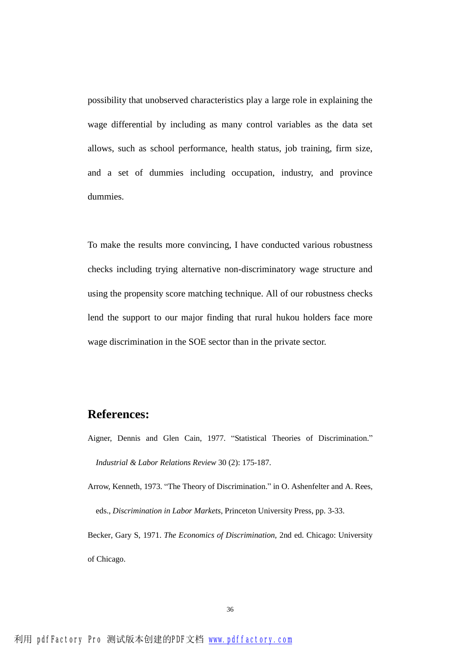possibility that unobserved characteristics play a large role in explaining the wage differential by including as many control variables as the data set allows, such as school performance, health status, job training, firm size, and a set of dummies including occupation, industry, and province dummies.

To make the results more convincing, I have conducted various robustness checks including trying alternative non-discriminatory wage structure and using the propensity score matching technique. All of our robustness checks lend the support to our major finding that rural hukou holders face more wage discrimination in the SOE sector than in the private sector.

## **References:**

Aigner, Dennis and Glen Cain, 1977. "Statistical Theories of Discrimination." *Industrial & Labor Relations Review* 30 (2): 175-187.

Arrow, Kenneth, 1973. "The Theory of Discrimination." in O. Ashenfelter and A. Rees, eds., *Discrimination in Labor Markets*, Princeton University Press, pp. 3-33. Becker, Gary S, 1971. *The Economics of Discrimination*, 2nd ed. Chicago: University of Chicago.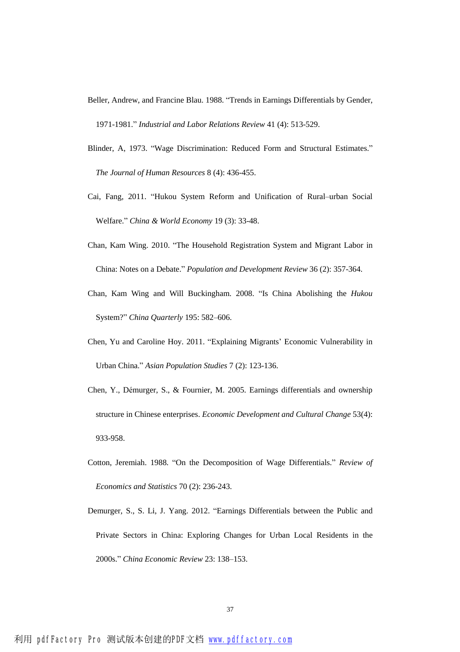Beller, Andrew, and Francine Blau. 1988. "Trends in Earnings Differentials by Gender, 1971-1981." *Industrial and Labor Relations Review* 41 (4): 513-529.

- Blinder, A, 1973. "Wage Discrimination: Reduced Form and Structural Estimates." *The Journal of Human Resources* 8 (4): 436-455.
- Cai, Fang, 2011. "Hukou System Reform and Unification of Rural–urban Social Welfare." *China & World Economy* 19 (3): 33-48.
- Chan, Kam Wing. 2010. "The Household Registration System and Migrant Labor in China: Notes on a Debate." *Population and Development Review* 36 (2): 357-364.
- Chan, Kam Wing and Will Buckingham. 2008. "Is China Abolishing the *Hukou* System?" *China Quarterly* 195: 582–606.
- Chen, Yu and Caroline Hoy. 2011. "Explaining Migrants' Economic Vulnerability in Urban China." *Asian Population Studies* 7 (2): 123-136.
- Chen, Y., Démurger, S., & Fournier, M. 2005. Earnings differentials and ownership structure in Chinese enterprises. *Economic Development and Cultural Change* 53(4): 933-958.
- Cotton, Jeremiah. 1988. "On the Decomposition of Wage Differentials." *Review of Economics and Statistics* 70 (2): 236-243.
- Demurger, S., S. Li, J. Yang. 2012. "Earnings Differentials between the Public and Private Sectors in China: Exploring Changes for Urban Local Residents in the 2000s." *China Economic Review* 23: 138–153.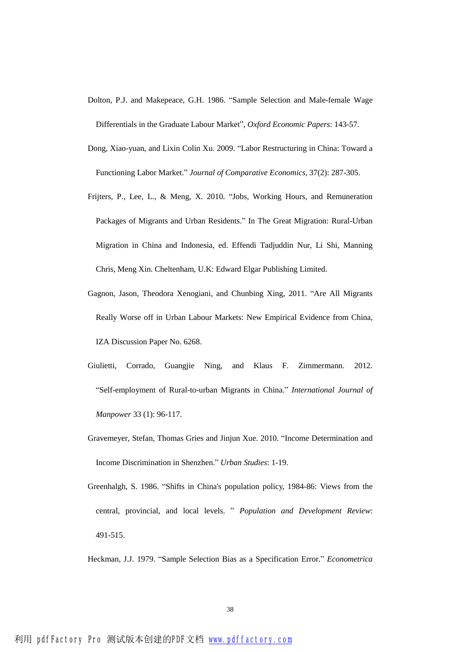- Dolton, P.J. and Makepeace, G.H. 1986. "Sample Selection and Male-female Wage Differentials in the Graduate Labour Market", *Oxford Economic Papers*: 143-57.
- Dong, Xiao-yuan, and Lixin Colin Xu. 2009. "Labor Restructuring in China: Toward a Functioning Labor Market." *Journal of Comparative Economics*, 37(2): 287-305.
- Frijters, P., Lee, L., & Meng, X. 2010. "Jobs, Working Hours, and Remuneration Packages of Migrants and Urban Residents." In The Great Migration: Rural-Urban Migration in China and Indonesia, ed. Effendi Tadjuddin Nur, Li Shi, Manning Chris, Meng Xin. Cheltenham, U.K: Edward Elgar Publishing Limited.
- Gagnon, Jason, Theodora Xenogiani, and Chunbing Xing, 2011. "Are All Migrants Really Worse off in Urban Labour Markets: New Empirical Evidence from China, IZA Discussion Paper No. 6268.
- Giulietti, Corrado, Guangjie Ning, and Klaus F. Zimmermann. 2012. "Self-employment of Rural-to-urban Migrants in China." *International Journal of Manpower* 33 (1): 96-117.
- Gravemeyer, Stefan, Thomas Gries and Jinjun Xue. 2010. "Income Determination and Income Discrimination in Shenzhen." *Urban Studies*: 1-19.
- Greenhalgh, S. 1986. "Shifts in China's population policy, 1984-86: Views from the central, provincial, and local levels. " *Population and Development Review*: 491-515.

Heckman, J.J. 1979. "Sample Selection Bias as a Specification Error." *Econometrica*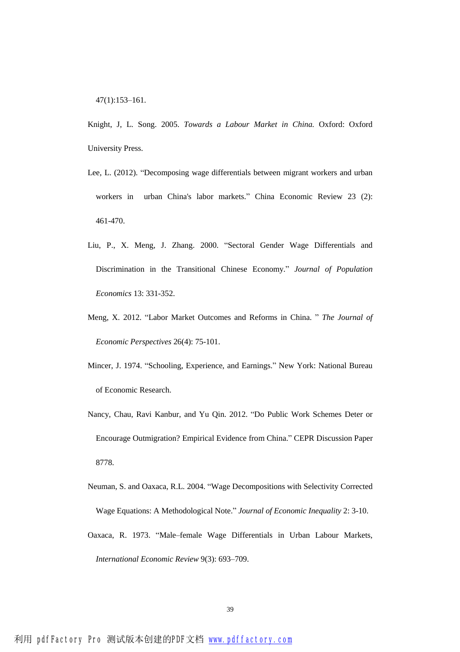47(1):153–161.

Knight, J, L. Song. 2005. *Towards a Labour Market in China.* Oxford: Oxford University Press.

- Lee, L. (2012). "Decomposing wage differentials between migrant workers and urban workers in urban China's labor markets." China Economic Review 23 (2): 461-470.
- Liu, P., X. Meng, J. Zhang. 2000. "Sectoral Gender Wage Differentials and Discrimination in the Transitional Chinese Economy." *Journal of Population Economics* 13: 331-352.
- Meng, X. 2012. "Labor Market Outcomes and Reforms in China. " *The Journal of Economic Perspectives* 26(4): 75-101.
- Mincer, J. 1974. "Schooling, Experience, and Earnings." New York: National Bureau of Economic Research.
- Nancy, Chau, Ravi Kanbur, and Yu Qin. 2012. "Do Public Work Schemes Deter or Encourage Outmigration? Empirical Evidence from China." CEPR Discussion Paper 8778.
- Neuman, S. and Oaxaca, R.L. 2004. "Wage Decompositions with Selectivity Corrected Wage Equations: A Methodological Note." *Journal of Economic Inequality* 2: 3-10. Oaxaca, R. 1973. "Male–female Wage Differentials in Urban Labour Markets,

*International Economic Review* 9(3): 693–709.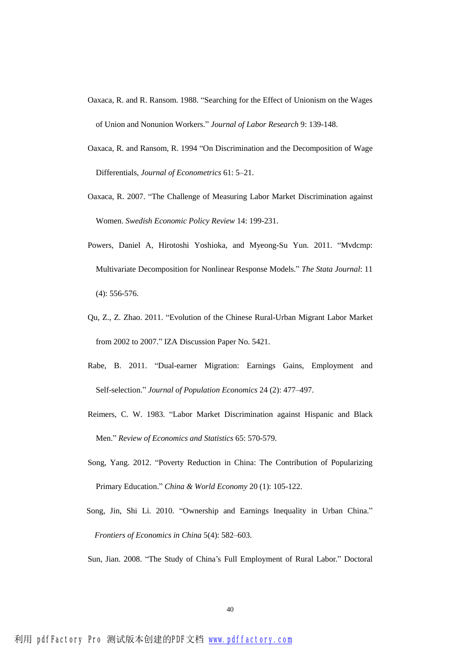- Oaxaca, R. and R. Ransom. 1988. "Searching for the Effect of Unionism on the Wages of Union and Nonunion Workers." *Journal of Labor Research* 9: 139-148.
- Oaxaca, R. and Ransom, R. 1994 "On Discrimination and the Decomposition of Wage Differentials, *Journal of Econometrics* 61: 5–21.
- Oaxaca, R. 2007. "The Challenge of Measuring Labor Market Discrimination against Women. *Swedish Economic Policy Review* 14: 199-231.
- Powers, Daniel A, Hirotoshi Yoshioka, and Myeong-Su Yun. 2011. "Mvdcmp: Multivariate Decomposition for Nonlinear Response Models." *The Stata Journal*: 11 (4): 556-576.
- Qu, Z., Z. Zhao. 2011. "Evolution of the Chinese Rural-Urban Migrant Labor Market from 2002 to 2007." IZA Discussion Paper No. 5421.
- Rabe, B. 2011. "Dual-earner Migration: Earnings Gains, Employment and Self-selection." *Journal of Population Economics* 24 (2): 477–497.
- Reimers, C. W. 1983. "Labor Market Discrimination against Hispanic and Black Men." *Review of Economics and Statistics* 65: 570-579.
- Song, Yang. 2012. "Poverty Reduction in China: The Contribution of Popularizing Primary Education." *China & World Economy* 20 (1): 105-122.
- Song, Jin, Shi Li. 2010. "Ownership and Earnings Inequality in Urban China." *Frontiers of Economics in China* 5(4): 582–603.

Sun, Jian. 2008. "The Study of China's Full Employment of Rural Labor." Doctoral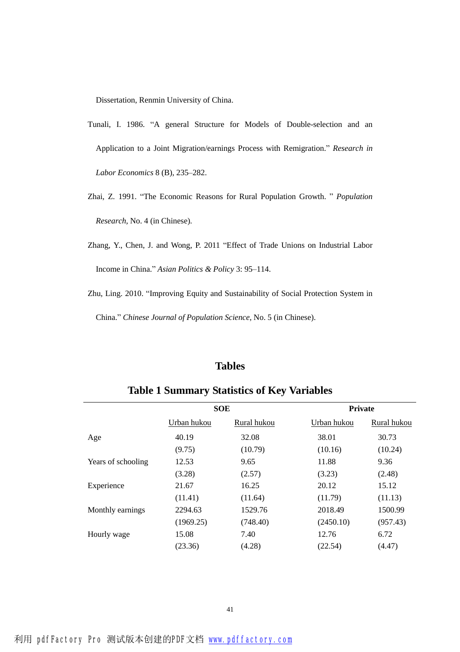Dissertation, Renmin University of China.

- Tunali, I. 1986. "A general Structure for Models of Double-selection and an Application to a Joint Migration/earnings Process with Remigration." *Research in Labor Economics* 8 (B), 235–282.
- Zhai, Z. 1991. "The Economic Reasons for Rural Population Growth. " *Population Research*, No. 4 (in Chinese).
- Zhang, Y., Chen, J. and Wong, P. 2011 "Effect of Trade Unions on Industrial Labor Income in China." *Asian Politics & Policy* 3: 95–114.
- Zhu, Ling. 2010. "Improving Equity and Sustainability of Social Protection System in China." *Chinese Journal of Population Science*, No. 5 (in Chinese).

### **Tables**

|                    | <b>SOE</b>  |             | <b>Private</b> |             |  |
|--------------------|-------------|-------------|----------------|-------------|--|
|                    | Urban hukou | Rural hukou | Urban hukou    | Rural hukou |  |
| Age                | 40.19       | 32.08       | 38.01          | 30.73       |  |
|                    | (9.75)      | (10.79)     | (10.16)        | (10.24)     |  |
| Years of schooling | 12.53       | 9.65        | 11.88          | 9.36        |  |
|                    | (3.28)      | (2.57)      | (3.23)         | (2.48)      |  |
| Experience         | 21.67       | 16.25       | 20.12          | 15.12       |  |
|                    | (11.41)     | (11.64)     | (11.79)        | (11.13)     |  |
| Monthly earnings   | 2294.63     | 1529.76     | 2018.49        | 1500.99     |  |
|                    | (1969.25)   | (748.40)    | (2450.10)      | (957.43)    |  |
| Hourly wage        | 15.08       | 7.40        | 12.76          | 6.72        |  |
|                    | (23.36)     | (4.28)      | (22.54)        | (4.47)      |  |
|                    |             |             |                |             |  |

**Table 1 Summary Statistics of Key Variables**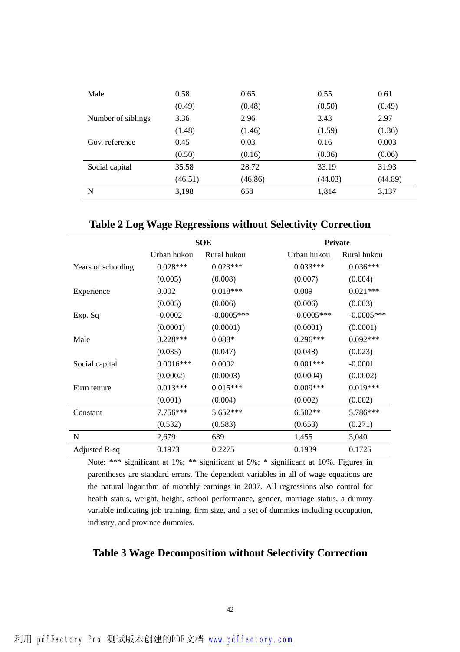| Male               | 0.58    | 0.65    | 0.55    | 0.61    |
|--------------------|---------|---------|---------|---------|
|                    | (0.49)  | (0.48)  | (0.50)  | (0.49)  |
| Number of siblings | 3.36    | 2.96    | 3.43    | 2.97    |
|                    | (1.48)  | (1.46)  | (1.59)  | (1.36)  |
| Gov. reference     | 0.45    | 0.03    | 0.16    | 0.003   |
|                    | (0.50)  | (0.16)  | (0.36)  | (0.06)  |
| Social capital     | 35.58   | 28.72   | 33.19   | 31.93   |
|                    | (46.51) | (46.86) | (44.03) | (44.89) |
| N                  | 3,198   | 658     | 1,814   | 3,137   |

**Table 2 Log Wage Regressions without Selectivity Correction** 

|                    | <b>SOE</b>  |              | <b>Private</b> |                    |  |
|--------------------|-------------|--------------|----------------|--------------------|--|
|                    | Urban hukou | Rural hukou  | Urban hukou    | <b>Rural hukou</b> |  |
| Years of schooling | $0.028***$  | $0.023***$   | $0.033***$     | $0.036***$         |  |
|                    | (0.005)     | (0.008)      | (0.007)        | (0.004)            |  |
| Experience         | 0.002       | $0.018***$   | 0.009          | $0.021***$         |  |
|                    | (0.005)     | (0.006)      | (0.006)        | (0.003)            |  |
| Exp. Sq            | $-0.0002$   | $-0.0005***$ | $-0.0005$ ***  | $-0.0005***$       |  |
|                    | (0.0001)    | (0.0001)     | (0.0001)       | (0.0001)           |  |
| Male               | $0.228***$  | $0.088*$     | $0.296***$     | $0.092***$         |  |
|                    | (0.035)     | (0.047)      | (0.048)        | (0.023)            |  |
| Social capital     | $0.0016***$ | 0.0002       | $0.001***$     | $-0.0001$          |  |
|                    | (0.0002)    | (0.0003)     | (0.0004)       | (0.0002)           |  |
| Firm tenure        | $0.013***$  | $0.015***$   | $0.009***$     | $0.019***$         |  |
|                    | (0.001)     | (0.004)      | (0.002)        | (0.002)            |  |
| Constant           | $7.756***$  | 5.652***     | $6.502**$      | 5.786***           |  |
|                    | (0.532)     | (0.583)      | (0.653)        | (0.271)            |  |
| N                  | 2,679       | 639          | 1,455          | 3,040              |  |
| Adjusted R-sq      | 0.1973      | 0.2275       | 0.1939         | 0.1725             |  |

Note: \*\*\* significant at 1%; \*\* significant at 5%; \* significant at 10%. Figures in parentheses are standard errors. The dependent variables in all of wage equations are the natural logarithm of monthly earnings in 2007. All regressions also control for health status, weight, height, school performance, gender, marriage status, a dummy variable indicating job training, firm size, and a set of dummies including occupation, industry, and province dummies.

### **Table 3 Wage Decomposition without Selectivity Correction**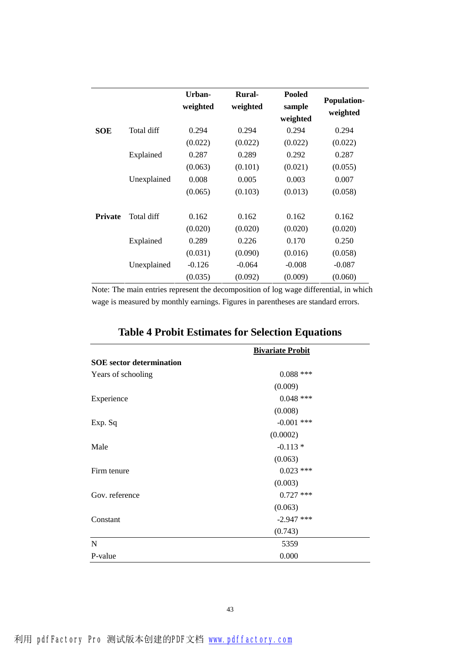|                |             | Urban-<br>weighted | <b>Rural-</b><br>weighted | <b>Pooled</b><br>sample<br>weighted | <b>Population-</b><br>weighted |
|----------------|-------------|--------------------|---------------------------|-------------------------------------|--------------------------------|
| <b>SOE</b>     | Total diff  | 0.294              | 0.294                     | 0.294                               | 0.294                          |
|                |             | (0.022)            | (0.022)                   | (0.022)                             | (0.022)                        |
|                | Explained   | 0.287              | 0.289                     | 0.292                               | 0.287                          |
|                |             | (0.063)            | (0.101)                   | (0.021)                             | (0.055)                        |
|                | Unexplained | 0.008              | 0.005                     | 0.003                               | 0.007                          |
|                |             | (0.065)            | (0.103)                   | (0.013)                             | (0.058)                        |
| <b>Private</b> | Total diff  | 0.162              | 0.162                     | 0.162                               | 0.162                          |
|                |             | (0.020)            | (0.020)                   | (0.020)                             | (0.020)                        |
|                | Explained   | 0.289              | 0.226                     | 0.170                               | 0.250                          |
|                |             | (0.031)            | (0.090)                   | (0.016)                             | (0.058)                        |
|                | Unexplained | $-0.126$           | $-0.064$                  | $-0.008$                            | $-0.087$                       |
|                |             | (0.035)            | (0.092)                   | (0.009)                             | (0.060)                        |

Note: The main entries represent the decomposition of log wage differential, in which wage is measured by monthly earnings. Figures in parentheses are standard errors.

|                                 | <b>Bivariate Probit</b> |
|---------------------------------|-------------------------|
| <b>SOE</b> sector determination |                         |
| Years of schooling              | $0.088$ ***             |
|                                 | (0.009)                 |
| Experience                      | $0.048$ ***             |
|                                 | (0.008)                 |
| Exp. Sq                         | $-0.001$ ***            |
|                                 | (0.0002)                |
| Male                            | $-0.113*$               |
|                                 | (0.063)                 |
| Firm tenure                     | $0.023$ ***             |
|                                 | (0.003)                 |
| Gov. reference                  | $0.727$ ***             |
|                                 | (0.063)                 |
| Constant                        | $-2.947$ ***            |
|                                 | (0.743)                 |
| N                               | 5359                    |
| P-value                         | 0.000                   |

## **Table 4 Probit Estimates for Selection Equations**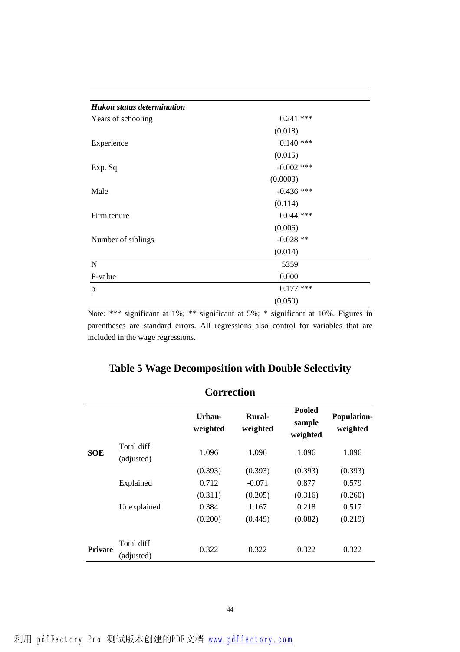| Hukou status determination |              |
|----------------------------|--------------|
| Years of schooling         | $0.241$ ***  |
|                            | (0.018)      |
| Experience                 | $0.140$ ***  |
|                            | (0.015)      |
| Exp. Sq                    | $-0.002$ *** |
|                            | (0.0003)     |
| Male                       | $-0.436$ *** |
|                            | (0.114)      |
| Firm tenure                | $0.044$ ***  |
|                            | (0.006)      |
| Number of siblings         | $-0.028$ **  |
|                            | (0.014)      |
| N                          | 5359         |
| P-value                    | 0.000        |
| ρ                          | $0.177$ ***  |
|                            | (0.050)      |

Note: \*\*\* significant at 1%; \*\* significant at 5%; \* significant at 10%. Figures in parentheses are standard errors. All regressions also control for variables that are included in the wage regressions.

|  |  |  | Table 5 Wage Decomposition with Double Selectivity |
|--|--|--|----------------------------------------------------|
|  |  |  |                                                    |

|                | <b>Correction</b>        |                    |                    |                                     |                                |  |
|----------------|--------------------------|--------------------|--------------------|-------------------------------------|--------------------------------|--|
|                |                          | Urban-<br>weighted | Rural-<br>weighted | <b>Pooled</b><br>sample<br>weighted | <b>Population-</b><br>weighted |  |
| <b>SOE</b>     | Total diff<br>(adjusted) | 1.096              | 1.096              | 1.096                               | 1.096                          |  |
|                |                          | (0.393)            | (0.393)            | (0.393)                             | (0.393)                        |  |
|                | Explained                | 0.712              | $-0.071$           | 0.877                               | 0.579                          |  |
|                |                          | (0.311)            | (0.205)            | (0.316)                             | (0.260)                        |  |
|                | Unexplained              | 0.384              | 1.167              | 0.218                               | 0.517                          |  |
|                |                          | (0.200)            | (0.449)            | (0.082)                             | (0.219)                        |  |
| <b>Private</b> | Total diff<br>(adjusted) | 0.322              | 0.322              | 0.322                               | 0.322                          |  |